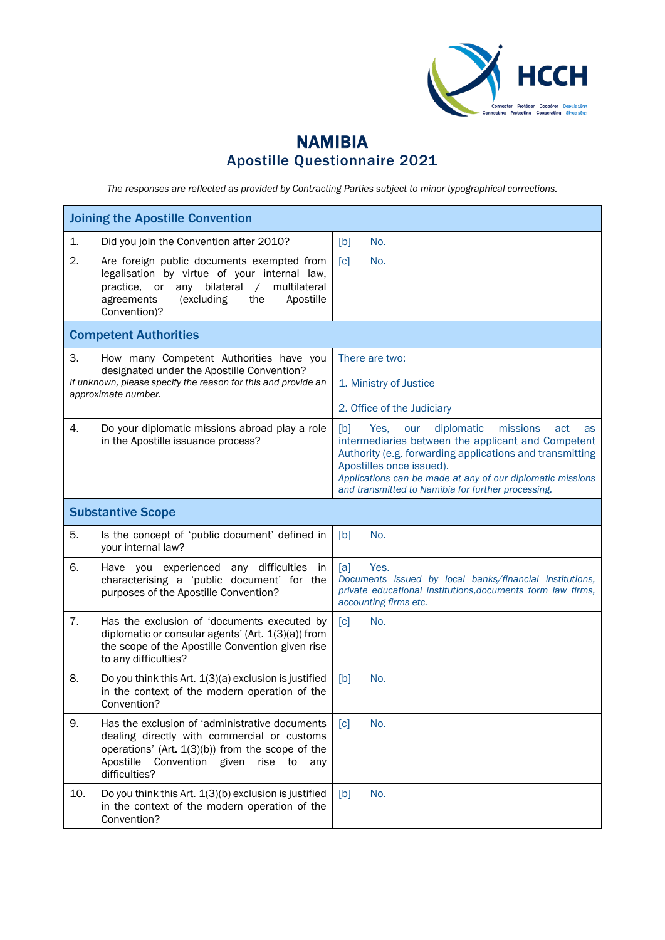

## NAMIBIA Apostille Questionnaire 2021

*The responses are reflected as provided by Contracting Parties subject to minor typographical corrections.*

| <b>Joining the Apostille Convention</b>                                                                                                                                                                                              |                                                                                                                                                                                                                                                                                                                             |  |
|--------------------------------------------------------------------------------------------------------------------------------------------------------------------------------------------------------------------------------------|-----------------------------------------------------------------------------------------------------------------------------------------------------------------------------------------------------------------------------------------------------------------------------------------------------------------------------|--|
| Did you join the Convention after 2010?<br>1.                                                                                                                                                                                        | [b]<br>No.                                                                                                                                                                                                                                                                                                                  |  |
| 2.<br>Are foreign public documents exempted from<br>legalisation by virtue of your internal law,<br>bilateral<br>multilateral<br>practice, or<br>any<br>$\sqrt{2}$<br>agreements<br>Apostille<br>(excluding)<br>the<br>Convention)?  | No.<br>[c]                                                                                                                                                                                                                                                                                                                  |  |
| <b>Competent Authorities</b>                                                                                                                                                                                                         |                                                                                                                                                                                                                                                                                                                             |  |
| 3.<br>How many Competent Authorities have you<br>designated under the Apostille Convention?<br>If unknown, please specify the reason for this and provide an<br>approximate number.                                                  | There are two:<br>1. Ministry of Justice<br>2. Office of the Judiciary                                                                                                                                                                                                                                                      |  |
| 4.<br>Do your diplomatic missions abroad play a role<br>in the Apostille issuance process?                                                                                                                                           | diplomatic<br>[b]<br>Yes,<br>missions<br>our<br>act<br>as<br>intermediaries between the applicant and Competent<br>Authority (e.g. forwarding applications and transmitting<br>Apostilles once issued).<br>Applications can be made at any of our diplomatic missions<br>and transmitted to Namibia for further processing. |  |
| <b>Substantive Scope</b>                                                                                                                                                                                                             |                                                                                                                                                                                                                                                                                                                             |  |
| 5.<br>Is the concept of 'public document' defined in<br>your internal law?                                                                                                                                                           | No.<br>[b]                                                                                                                                                                                                                                                                                                                  |  |
| 6.<br>Have you experienced any difficulties<br>in<br>characterising a 'public document' for the<br>purposes of the Apostille Convention?                                                                                             | Yes.<br>[a]<br>Documents issued by local banks/financial institutions,<br>private educational institutions, documents form law firms,<br>accounting firms etc.                                                                                                                                                              |  |
| 7.<br>Has the exclusion of 'documents executed by<br>diplomatic or consular agents' (Art. 1(3)(a)) from<br>the scope of the Apostille Convention given rise<br>to any difficulties?                                                  | [c]<br>No.                                                                                                                                                                                                                                                                                                                  |  |
| 8.<br>Do you think this Art. 1(3)(a) exclusion is justified<br>in the context of the modern operation of the<br>Convention?                                                                                                          | No.<br>[b]                                                                                                                                                                                                                                                                                                                  |  |
| 9.<br>Has the exclusion of 'administrative documents<br>dealing directly with commercial or customs<br>operations' (Art. $1(3)(b)$ ) from the scope of the<br>Apostille<br>Convention<br>given<br>rise<br>to<br>any<br>difficulties? | No.<br>$\lceil c \rceil$                                                                                                                                                                                                                                                                                                    |  |
| 10.<br>Do you think this Art. 1(3)(b) exclusion is justified<br>in the context of the modern operation of the<br>Convention?                                                                                                         | No.<br>[b]                                                                                                                                                                                                                                                                                                                  |  |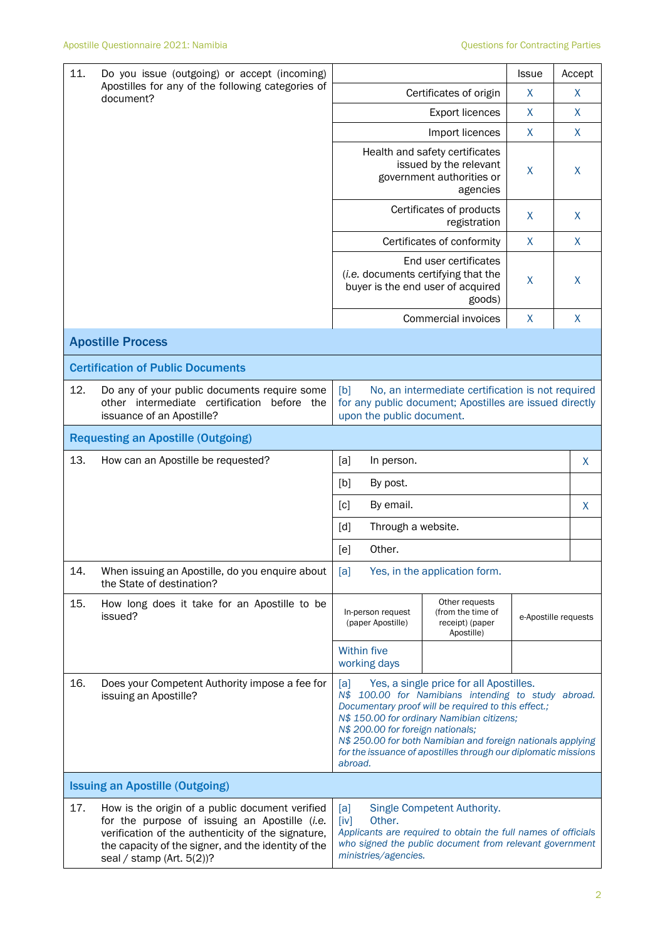| 11.<br>Do you issue (outgoing) or accept (incoming)<br>Apostilles for any of the following categories of<br>document? |                                                                                                                                                                                                                                            |                                                                                                                                                                                                                                                                                                                                                                                             | <b>Issue</b>                                                                                                                                            | Accept       |                      |
|-----------------------------------------------------------------------------------------------------------------------|--------------------------------------------------------------------------------------------------------------------------------------------------------------------------------------------------------------------------------------------|---------------------------------------------------------------------------------------------------------------------------------------------------------------------------------------------------------------------------------------------------------------------------------------------------------------------------------------------------------------------------------------------|---------------------------------------------------------------------------------------------------------------------------------------------------------|--------------|----------------------|
|                                                                                                                       |                                                                                                                                                                                                                                            | Certificates of origin                                                                                                                                                                                                                                                                                                                                                                      | X                                                                                                                                                       | X            |                      |
|                                                                                                                       |                                                                                                                                                                                                                                            | <b>Export licences</b>                                                                                                                                                                                                                                                                                                                                                                      | X                                                                                                                                                       | X            |                      |
|                                                                                                                       |                                                                                                                                                                                                                                            | Import licences                                                                                                                                                                                                                                                                                                                                                                             | X                                                                                                                                                       | X            |                      |
|                                                                                                                       |                                                                                                                                                                                                                                            | Health and safety certificates<br>issued by the relevant<br>government authorities or<br>agencies                                                                                                                                                                                                                                                                                           | X                                                                                                                                                       | X            |                      |
|                                                                                                                       |                                                                                                                                                                                                                                            | Certificates of products<br>registration                                                                                                                                                                                                                                                                                                                                                    | $\mathsf{X}$                                                                                                                                            | X            |                      |
|                                                                                                                       |                                                                                                                                                                                                                                            | $\mathsf{X}$<br>Certificates of conformity                                                                                                                                                                                                                                                                                                                                                  |                                                                                                                                                         |              | $\mathsf{X}$         |
|                                                                                                                       |                                                                                                                                                                                                                                            |                                                                                                                                                                                                                                                                                                                                                                                             | End user certificates<br>(i.e. documents certifying that the<br>buyer is the end user of acquired<br>goods)                                             | X            | X                    |
|                                                                                                                       |                                                                                                                                                                                                                                            |                                                                                                                                                                                                                                                                                                                                                                                             | Commercial invoices                                                                                                                                     | $\mathsf{X}$ | $\mathsf{X}$         |
|                                                                                                                       | <b>Apostille Process</b>                                                                                                                                                                                                                   |                                                                                                                                                                                                                                                                                                                                                                                             |                                                                                                                                                         |              |                      |
|                                                                                                                       | <b>Certification of Public Documents</b>                                                                                                                                                                                                   |                                                                                                                                                                                                                                                                                                                                                                                             |                                                                                                                                                         |              |                      |
| 12.                                                                                                                   | Do any of your public documents require some<br>other intermediate certification<br>before the<br>issuance of an Apostille?                                                                                                                | [b]<br>No, an intermediate certification is not required<br>for any public document; Apostilles are issued directly<br>upon the public document.                                                                                                                                                                                                                                            |                                                                                                                                                         |              |                      |
| <b>Requesting an Apostille (Outgoing)</b>                                                                             |                                                                                                                                                                                                                                            |                                                                                                                                                                                                                                                                                                                                                                                             |                                                                                                                                                         |              |                      |
| 13.                                                                                                                   | How can an Apostille be requested?                                                                                                                                                                                                         | [a]<br>In person.                                                                                                                                                                                                                                                                                                                                                                           |                                                                                                                                                         |              | X                    |
|                                                                                                                       |                                                                                                                                                                                                                                            | [b]<br>By post.                                                                                                                                                                                                                                                                                                                                                                             |                                                                                                                                                         |              |                      |
|                                                                                                                       |                                                                                                                                                                                                                                            | By email.<br>[c]<br>X                                                                                                                                                                                                                                                                                                                                                                       |                                                                                                                                                         |              |                      |
|                                                                                                                       |                                                                                                                                                                                                                                            | Through a website.<br>[d]                                                                                                                                                                                                                                                                                                                                                                   |                                                                                                                                                         |              |                      |
|                                                                                                                       |                                                                                                                                                                                                                                            | Other.<br>[e]                                                                                                                                                                                                                                                                                                                                                                               |                                                                                                                                                         |              |                      |
| 14.                                                                                                                   | When issuing an Apostille, do you enquire about<br>the State of destination?                                                                                                                                                               | Yes, in the application form.<br>[a]                                                                                                                                                                                                                                                                                                                                                        |                                                                                                                                                         |              |                      |
| 15.                                                                                                                   | How long does it take for an Apostille to be<br>issued?                                                                                                                                                                                    | In-person request<br>(paper Apostille)                                                                                                                                                                                                                                                                                                                                                      | Other requests<br>(from the time of<br>receipt) (paper<br>Apostille)                                                                                    |              | e-Apostille requests |
|                                                                                                                       |                                                                                                                                                                                                                                            | Within five<br>working days                                                                                                                                                                                                                                                                                                                                                                 |                                                                                                                                                         |              |                      |
| 16.                                                                                                                   | Does your Competent Authority impose a fee for<br>issuing an Apostille?                                                                                                                                                                    | Yes, a single price for all Apostilles.<br> a <br>N\$ 100.00 for Namibians intending to study abroad.<br>Documentary proof will be required to this effect.;<br>N\$ 150.00 for ordinary Namibian citizens;<br>N\$ 200.00 for foreign nationals;<br>N\$ 250.00 for both Namibian and foreign nationals applying<br>for the issuance of apostilles through our diplomatic missions<br>abroad. |                                                                                                                                                         |              |                      |
|                                                                                                                       | <b>Issuing an Apostille (Outgoing)</b>                                                                                                                                                                                                     |                                                                                                                                                                                                                                                                                                                                                                                             |                                                                                                                                                         |              |                      |
| 17.                                                                                                                   | How is the origin of a public document verified<br>for the purpose of issuing an Apostille (i.e.<br>verification of the authenticity of the signature,<br>the capacity of the signer, and the identity of the<br>seal / stamp (Art. 5(2))? | [a]<br>[iv]<br>Other.<br>ministries/agencies.                                                                                                                                                                                                                                                                                                                                               | Single Competent Authority.<br>Applicants are required to obtain the full names of officials<br>who signed the public document from relevant government |              |                      |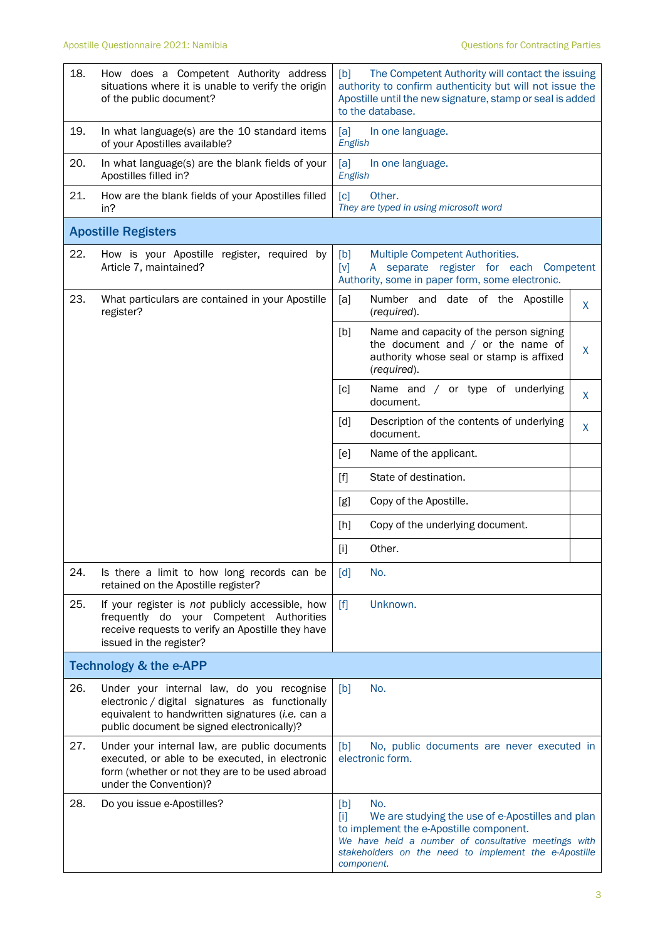| 18. | How does a Competent Authority address<br>situations where it is unable to verify the origin<br>of the public document?                                                                        | The Competent Authority will contact the issuing<br>[b]<br>authority to confirm authenticity but will not issue the<br>Apostille until the new signature, stamp or seal is added<br>to the database.                                             |  |
|-----|------------------------------------------------------------------------------------------------------------------------------------------------------------------------------------------------|--------------------------------------------------------------------------------------------------------------------------------------------------------------------------------------------------------------------------------------------------|--|
| 19. | In what language(s) are the 10 standard items<br>of your Apostilles available?                                                                                                                 | [a]<br>In one language.<br>English                                                                                                                                                                                                               |  |
| 20. | In what language(s) are the blank fields of your<br>Apostilles filled in?                                                                                                                      | [a]<br>In one language.<br>English                                                                                                                                                                                                               |  |
| 21. | How are the blank fields of your Apostilles filled<br>in?                                                                                                                                      | [c]<br>Other.<br>They are typed in using microsoft word                                                                                                                                                                                          |  |
|     | <b>Apostille Registers</b>                                                                                                                                                                     |                                                                                                                                                                                                                                                  |  |
| 22. | How is your Apostille register, required by<br>Article 7, maintained?                                                                                                                          | [b]<br>Multiple Competent Authorities.<br>separate register for each Competent<br>[v]<br>A<br>Authority, some in paper form, some electronic.                                                                                                    |  |
| 23. | What particulars are contained in your Apostille<br>register?                                                                                                                                  | [a]<br>Number and date of the Apostille<br>X<br>(required).                                                                                                                                                                                      |  |
|     |                                                                                                                                                                                                | [b]<br>Name and capacity of the person signing<br>the document and $/$ or the name of<br>X<br>authority whose seal or stamp is affixed<br>(required).                                                                                            |  |
|     |                                                                                                                                                                                                | $\lceil c \rceil$<br>Name and / or type of underlying<br>X<br>document.                                                                                                                                                                          |  |
|     |                                                                                                                                                                                                | Description of the contents of underlying<br>[d]<br>X<br>document.                                                                                                                                                                               |  |
|     |                                                                                                                                                                                                | Name of the applicant.<br>[e]                                                                                                                                                                                                                    |  |
|     |                                                                                                                                                                                                | $[f]$<br>State of destination.                                                                                                                                                                                                                   |  |
|     |                                                                                                                                                                                                | Copy of the Apostille.<br>[g]                                                                                                                                                                                                                    |  |
|     |                                                                                                                                                                                                | Copy of the underlying document.<br>[h]                                                                                                                                                                                                          |  |
|     |                                                                                                                                                                                                | Other.<br>$[1]$                                                                                                                                                                                                                                  |  |
| 24. | Is there a limit to how long records can be<br>retained on the Apostille register?                                                                                                             | No.<br>$\lceil d \rceil$                                                                                                                                                                                                                         |  |
| 25. | If your register is not publicly accessible, how<br>frequently do your Competent Authorities<br>receive requests to verify an Apostille they have<br>issued in the register?                   | [f]<br>Unknown.                                                                                                                                                                                                                                  |  |
|     | <b>Technology &amp; the e-APP</b>                                                                                                                                                              |                                                                                                                                                                                                                                                  |  |
| 26. | Under your internal law, do you recognise<br>electronic / digital signatures as functionally<br>equivalent to handwritten signatures (i.e. can a<br>public document be signed electronically)? | No.<br>[b]                                                                                                                                                                                                                                       |  |
| 27. | Under your internal law, are public documents<br>executed, or able to be executed, in electronic<br>form (whether or not they are to be used abroad<br>under the Convention)?                  | [b]<br>No, public documents are never executed in<br>electronic form.                                                                                                                                                                            |  |
| 28. | Do you issue e-Apostilles?                                                                                                                                                                     | No.<br>[b]<br>$[1]$<br>We are studying the use of e-Apostilles and plan<br>to implement the e-Apostille component.<br>We have held a number of consultative meetings with<br>stakeholders on the need to implement the e-Apostille<br>component. |  |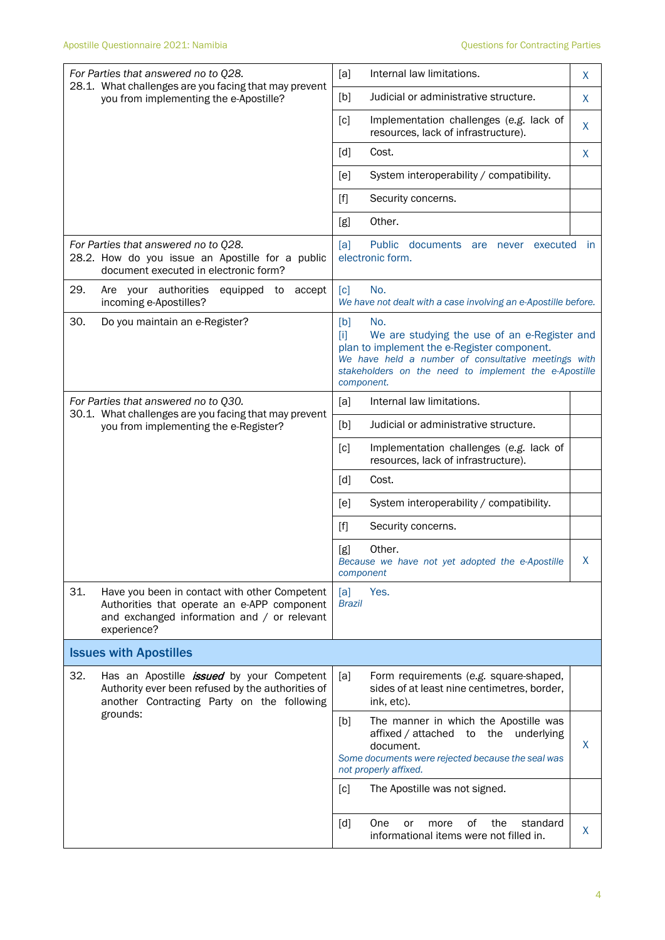| For Parties that answered no to Q28.<br>28.1. What challenges are you facing that may prevent<br>you from implementing the e-Apostille?                           | [a]<br>Internal law limitations.                                                                           | X                                                                                                                                                                                                                                                |              |
|-------------------------------------------------------------------------------------------------------------------------------------------------------------------|------------------------------------------------------------------------------------------------------------|--------------------------------------------------------------------------------------------------------------------------------------------------------------------------------------------------------------------------------------------------|--------------|
|                                                                                                                                                                   | Judicial or administrative structure.<br>[b]                                                               | X                                                                                                                                                                                                                                                |              |
|                                                                                                                                                                   |                                                                                                            | [c]<br>Implementation challenges (e.g. lack of<br>resources, lack of infrastructure).                                                                                                                                                            | X            |
|                                                                                                                                                                   |                                                                                                            | [d]<br>Cost.                                                                                                                                                                                                                                     | X            |
|                                                                                                                                                                   |                                                                                                            | System interoperability / compatibility.<br>[e]                                                                                                                                                                                                  |              |
|                                                                                                                                                                   |                                                                                                            | $[f]$<br>Security concerns.                                                                                                                                                                                                                      |              |
|                                                                                                                                                                   |                                                                                                            | Other.<br>[g]                                                                                                                                                                                                                                    |              |
| For Parties that answered no to Q28.<br>28.2. How do you issue an Apostille for a public<br>document executed in electronic form?                                 |                                                                                                            | [a]<br>Public documents are never executed<br>electronic form.                                                                                                                                                                                   | $\mathsf{I}$ |
| 29.<br>Are your authorities<br>incoming e-Apostilles?                                                                                                             | equipped to<br>accept                                                                                      | No.<br>[c]<br>We have not dealt with a case involving an e-Apostille before.                                                                                                                                                                     |              |
| 30.<br>Do you maintain an e-Register?                                                                                                                             |                                                                                                            | [b]<br>No.<br>$[1]$<br>We are studying the use of an e-Register and<br>plan to implement the e-Register component.<br>We have held a number of consultative meetings with<br>stakeholders on the need to implement the e-Apostille<br>component. |              |
| For Parties that answered no to Q30.                                                                                                                              |                                                                                                            | Internal law limitations.<br>[a]                                                                                                                                                                                                                 |              |
| 30.1. What challenges are you facing that may prevent<br>you from implementing the e-Register?                                                                    | Judicial or administrative structure.<br>[b]                                                               |                                                                                                                                                                                                                                                  |              |
|                                                                                                                                                                   |                                                                                                            | Implementation challenges (e.g. lack of<br>[c]<br>resources, lack of infrastructure).                                                                                                                                                            |              |
|                                                                                                                                                                   |                                                                                                            | $\lceil d \rceil$<br>Cost.                                                                                                                                                                                                                       |              |
|                                                                                                                                                                   |                                                                                                            | [e]<br>System interoperability / compatibility.                                                                                                                                                                                                  |              |
|                                                                                                                                                                   |                                                                                                            | $[f]$<br>Security concerns.                                                                                                                                                                                                                      |              |
|                                                                                                                                                                   |                                                                                                            | Other.<br>[g]<br>Because we have not yet adopted the e-Apostille<br>component                                                                                                                                                                    |              |
| 31.<br>Have you been in contact with other Competent<br>Authorities that operate an e-APP component<br>and exchanged information and / or relevant<br>experience? |                                                                                                            | [a]<br>Yes.<br><b>Brazil</b>                                                                                                                                                                                                                     |              |
| <b>Issues with Apostilles</b>                                                                                                                                     |                                                                                                            |                                                                                                                                                                                                                                                  |              |
| 32.<br>Has an Apostille <i>issued</i> by your Competent<br>Authority ever been refused by the authorities of<br>another Contracting Party on the following        | [a]<br>Form requirements (e.g. square-shaped,<br>sides of at least nine centimetres, border,<br>ink, etc). |                                                                                                                                                                                                                                                  |              |
| grounds:                                                                                                                                                          |                                                                                                            | The manner in which the Apostille was<br>[b]<br>affixed / attached to the underlying<br>document.<br>Some documents were rejected because the seal was<br>not properly affixed.                                                                  | X.           |
|                                                                                                                                                                   |                                                                                                            | The Apostille was not signed.<br>[c]                                                                                                                                                                                                             |              |
|                                                                                                                                                                   |                                                                                                            | [d]<br>One<br>0f<br>the<br>standard<br>more<br>or<br>informational items were not filled in.                                                                                                                                                     | X            |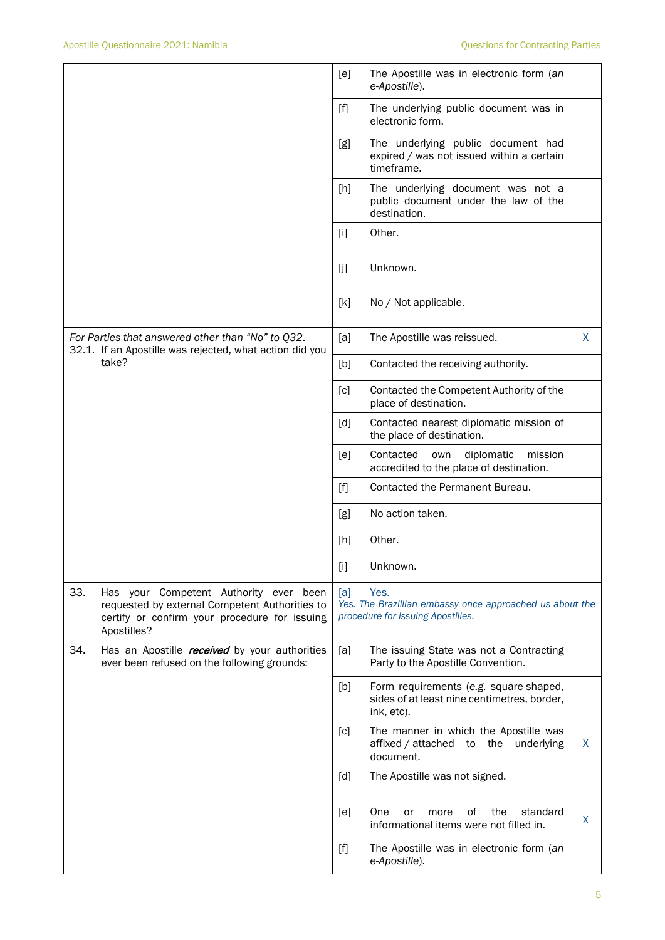|                                                                                                                                                                 | The Apostille was in electronic form (an<br>[e]<br>e-Apostille).                                                                                                                                                                                                     |   |
|-----------------------------------------------------------------------------------------------------------------------------------------------------------------|----------------------------------------------------------------------------------------------------------------------------------------------------------------------------------------------------------------------------------------------------------------------|---|
|                                                                                                                                                                 | $[f]$<br>The underlying public document was in<br>electronic form.                                                                                                                                                                                                   |   |
|                                                                                                                                                                 | The underlying public document had<br>[g]<br>expired / was not issued within a certain<br>timeframe.                                                                                                                                                                 |   |
|                                                                                                                                                                 | The underlying document was not a<br>[h]<br>public document under the law of the<br>destination.                                                                                                                                                                     |   |
|                                                                                                                                                                 | Other.<br>$[1]$                                                                                                                                                                                                                                                      |   |
|                                                                                                                                                                 | [j]<br>Unknown.                                                                                                                                                                                                                                                      |   |
|                                                                                                                                                                 | [k]<br>No / Not applicable.                                                                                                                                                                                                                                          |   |
| For Parties that answered other than "No" to Q32.<br>32.1. If an Apostille was rejected, what action did you                                                    | The Apostille was reissued.<br>[a]                                                                                                                                                                                                                                   | X |
| take?                                                                                                                                                           | Contacted the receiving authority.<br>[b]                                                                                                                                                                                                                            |   |
|                                                                                                                                                                 | Contacted the Competent Authority of the<br>[c]<br>place of destination.                                                                                                                                                                                             |   |
|                                                                                                                                                                 | [d]<br>Contacted nearest diplomatic mission of<br>the place of destination.                                                                                                                                                                                          |   |
|                                                                                                                                                                 | Contacted<br>diplomatic<br>[e]<br>own<br>mission<br>accredited to the place of destination.                                                                                                                                                                          |   |
|                                                                                                                                                                 | $[f]$<br>Contacted the Permanent Bureau.                                                                                                                                                                                                                             |   |
|                                                                                                                                                                 | No action taken.<br>[g]                                                                                                                                                                                                                                              |   |
|                                                                                                                                                                 | Other.<br>[h]                                                                                                                                                                                                                                                        |   |
|                                                                                                                                                                 | $[1] % \begin{center} % \includegraphics[width=\linewidth]{imagesSupplemental_3.png} % \end{center} % \caption { % Our method is used for the method. % The method is used in the image. % The method is used in the image. % } % \label{fig:example} %$<br>Unknown. |   |
| 33.<br>Has your Competent Authority ever been<br>requested by external Competent Authorities to<br>certify or confirm your procedure for issuing<br>Apostilles? | Yes.<br>[a]<br>Yes. The Brazillian embassy once approached us about the<br>procedure for issuing Apostilles.                                                                                                                                                         |   |
| 34.<br>Has an Apostille received by your authorities<br>ever been refused on the following grounds:                                                             | [a]<br>The issuing State was not a Contracting<br>Party to the Apostille Convention.                                                                                                                                                                                 |   |
|                                                                                                                                                                 | [b]<br>Form requirements (e.g. square-shaped,<br>sides of at least nine centimetres, border,<br>ink, etc).                                                                                                                                                           |   |
|                                                                                                                                                                 | The manner in which the Apostille was<br>[c]<br>affixed / attached<br>the underlying<br>to<br>document.                                                                                                                                                              | X |
|                                                                                                                                                                 | [d]<br>The Apostille was not signed.                                                                                                                                                                                                                                 |   |
|                                                                                                                                                                 | One<br>of<br>the<br>standard<br>[e]<br>or<br>more<br>informational items were not filled in.                                                                                                                                                                         | X |
|                                                                                                                                                                 | $[f]$<br>The Apostille was in electronic form (an<br>e-Apostille).                                                                                                                                                                                                   |   |